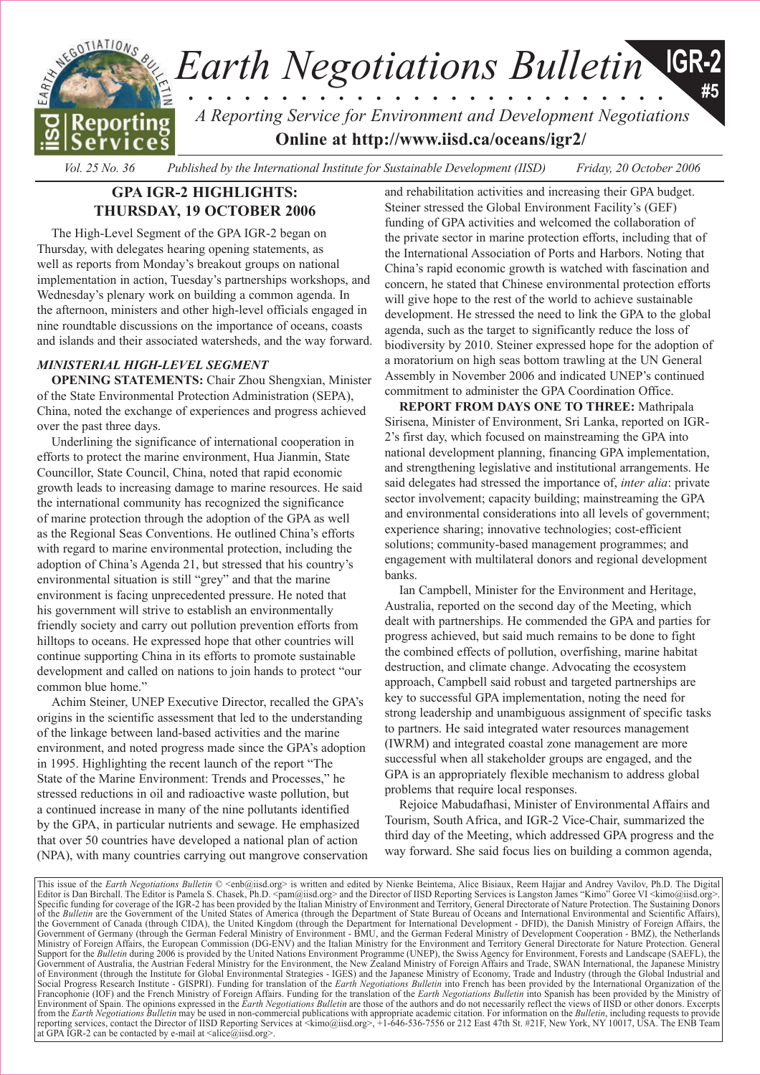

# **GPA IGR-2 HIGHLIGHTS: THURSDAY, 19 OCTOBER 2006**

The High-Level Segment of the GPA IGR-2 began on Thursday, with delegates hearing opening statements, as well as reports from Monday's breakout groups on national implementation in action, Tuesday's partnerships workshops, and Wednesday's plenary work on building a common agenda. In the afternoon, ministers and other high-level officials engaged in nine roundtable discussions on the importance of oceans, coasts and islands and their associated watersheds, and the way forward.

# *MINISTERIAL HIGH-LEVEL SEGMENT*

**OPENING STATEMENTS:** Chair Zhou Shengxian, Minister of the State Environmental Protection Administration (SEPA), China, noted the exchange of experiences and progress achieved over the past three days.

Underlining the significance of international cooperation in efforts to protect the marine environment, Hua Jianmin, State Councillor, State Council, China, noted that rapid economic growth leads to increasing damage to marine resources. He said the international community has recognized the significance of marine protection through the adoption of the GPA as well as the Regional Seas Conventions. He outlined China's efforts with regard to marine environmental protection, including the adoption of China's Agenda 21, but stressed that his country's environmental situation is still "grey" and that the marine environment is facing unprecedented pressure. He noted that his government will strive to establish an environmentally friendly society and carry out pollution prevention efforts from hilltops to oceans. He expressed hope that other countries will continue supporting China in its efforts to promote sustainable development and called on nations to join hands to protect "our common blue home."

Achim Steiner, UNEP Executive Director, recalled the GPA's origins in the scientific assessment that led to the understanding of the linkage between land-based activities and the marine environment, and noted progress made since the GPA's adoption in 1995. Highlighting the recent launch of the report "The State of the Marine Environment: Trends and Processes," he stressed reductions in oil and radioactive waste pollution, but a continued increase in many of the nine pollutants identified by the GPA, in particular nutrients and sewage. He emphasized that over 50 countries have developed a national plan of action (NPA), with many countries carrying out mangrove conservation and rehabilitation activities and increasing their GPA budget. Steiner stressed the Global Environment Facility's (GEF) funding of GPA activities and welcomed the collaboration of the private sector in marine protection efforts, including that of the International Association of Ports and Harbors. Noting that China's rapid economic growth is watched with fascination and concern, he stated that Chinese environmental protection efforts will give hope to the rest of the world to achieve sustainable development. He stressed the need to link the GPA to the global agenda, such as the target to significantly reduce the loss of biodiversity by 2010. Steiner expressed hope for the adoption of a moratorium on high seas bottom trawling at the UN General Assembly in November 2006 and indicated UNEP's continued commitment to administer the GPA Coordination Office.

**REPORT FROM DAYS ONE TO THREE:** Mathripala Sirisena, Minister of Environment, Sri Lanka, reported on IGR-2's first day, which focused on mainstreaming the GPA into national development planning, financing GPA implementation, and strengthening legislative and institutional arrangements. He said delegates had stressed the importance of, *inter alia*: private sector involvement; capacity building; mainstreaming the GPA and environmental considerations into all levels of government; experience sharing; innovative technologies; cost-efficient solutions; community-based management programmes; and engagement with multilateral donors and regional development banks.

Ian Campbell, Minister for the Environment and Heritage, Australia, reported on the second day of the Meeting, which dealt with partnerships. He commended the GPA and parties for progress achieved, but said much remains to be done to fight the combined effects of pollution, overfishing, marine habitat destruction, and climate change. Advocating the ecosystem approach, Campbell said robust and targeted partnerships are key to successful GPA implementation, noting the need for strong leadership and unambiguous assignment of specific tasks to partners. He said integrated water resources management (IWRM) and integrated coastal zone management are more successful when all stakeholder groups are engaged, and the GPA is an appropriately flexible mechanism to address global problems that require local responses.

Rejoice Mabudafhasi, Minister of Environmental Affairs and Tourism, South Africa, and IGR-2 Vice-Chair, summarized the third day of the Meeting, which addressed GPA progress and the way forward. She said focus lies on building a common agenda,

This issue of the *Earth Negotiations Bulletin* © <[enb@iisd.org>](mailto:enb@iisd.org) is written and edited by Nienke Beintema, Alice Bisiaux, Reem Hajjar and Andrey Vavilov, Ph.D. The Digital and Andrey Vavilov, Ph.D. The Digital org>.<br>Editor Specific funding for coverage of the IGR-2 has been provided by the Italian Ministry of Environment and Territory, General Directorate of Nature Protection. The Sustaining Donors of the Bulletin are the Government of the U the Government of Canada (through CIDA), the United Kingdom (through the Department for International Development - DFID), the Danish Ministry of Foreign Affairs, the Government of Germany (through the German Federal Ministry of Environment - BMU, and the German Federal Ministry of Development Cooperation - BMZ), the Netherlands<br>Ministry of Foreign Affairs, the European Commission (DG-E Support for the *Bulletin* during 2006 is provided by the United Nations Environment Programme (UNEP), the Swiss Agency for Environment, Forests and Landscape (SAEFL), the Government of Australia, the Austrian Federal Ministry for the Environment, the New Zealand Ministry of Foreign Affairs and Trade, SWAN International, the Japanese Ministry of Environment (through the Institute for Global Environmental Strategies - IGES) and the Japanese Ministry of Economy, Trade and Industry (through the Global Industrial and Social Progress Research Institute - GISPRI). Funding for translation of the *Earth Negotiations Bulletin* into French has been provided by the International Organization of the International Organization of the Francophon Environment of Spain. The opinions expressed in the *Earth Negotiations Bulletin* are those of the authors and do not necessarily reflect the views of IISD or other donors. Excerpts from the *Earth Negotiations Bulletin* may be used in non-commercial publications with appropriate academic citation. For information on the *Bulletin*, including requests to provide reporting services, contact the Director of IISD Reporting Services at <[kimo@iisd.org>, +1](mailto:kimo@iisd.org)-646-536-7556 or 212 East 47th St. #21F, New York, NY 10017, USA. The ENB Team at GPA IGR-2 can be contacted by e-mail at  $\langle$ alice@iisd.org>